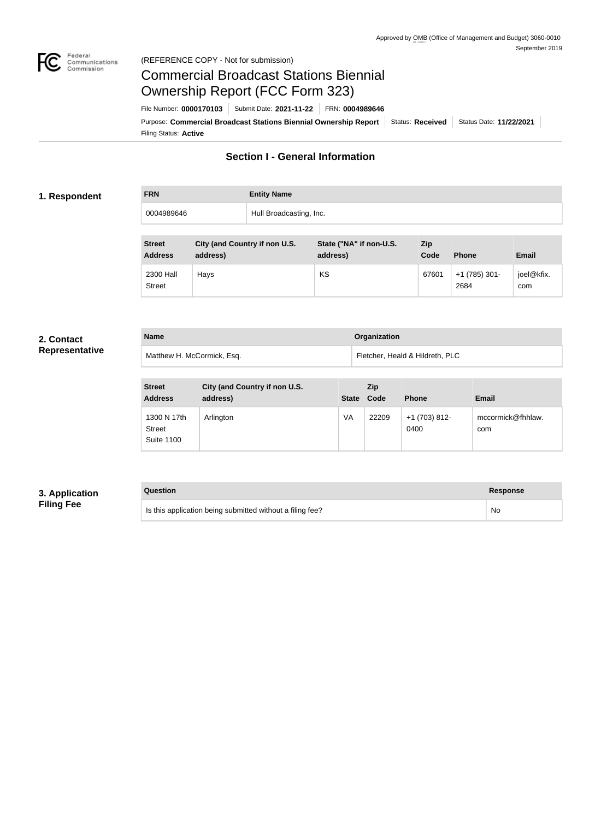

### Federal<br>Communications<br>Commission (REFERENCE COPY - Not for submission)

# Commercial Broadcast Stations Biennial Ownership Report (FCC Form 323)

Filing Status: **Active** Purpose: Commercial Broadcast Stations Biennial Ownership Report Status: Received Status Date: 11/22/2021 File Number: **0000170103** Submit Date: **2021-11-22** FRN: **0004989646**

# **Section I - General Information**

### **1. Respondent**

| <b>FRN</b> | <b>Entity Name</b>      |
|------------|-------------------------|
| 0004989646 | Hull Broadcasting, Inc. |

| <b>Street</b><br><b>Address</b> | City (and Country if non U.S.<br>address) | State ("NA" if non-U.S.<br>address) | Zip<br>Code | <b>Phone</b>          | <b>Email</b>      |
|---------------------------------|-------------------------------------------|-------------------------------------|-------------|-----------------------|-------------------|
| 2300 Hall<br><b>Street</b>      | Hays                                      | KS                                  | 67601       | $+1(785)301-$<br>2684 | joel@kfix.<br>com |

#### **2. Contact Representative**

| <b>Name</b>                | <b>Organization</b>             |
|----------------------------|---------------------------------|
| Matthew H. McCormick, Esq. | Fletcher, Heald & Hildreth, PLC |

| <b>Street</b><br><b>Address</b>                   | City (and Country if non U.S.<br>address) | <b>State</b> | <b>Zip</b><br>Code | <b>Phone</b>          | <b>Email</b>             |
|---------------------------------------------------|-------------------------------------------|--------------|--------------------|-----------------------|--------------------------|
| 1300 N 17th<br><b>Street</b><br><b>Suite 1100</b> | Arlington                                 | VA           | 22209              | +1 (703) 812-<br>0400 | mccormick@fhhlaw.<br>com |

## **3. Application Filing Fee**

# **Question Response** Is this application being submitted without a filing fee? No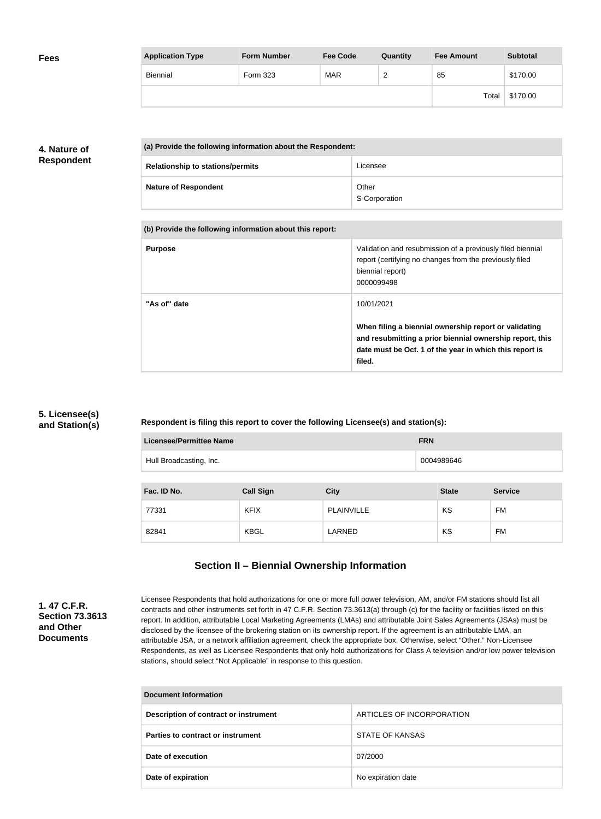| <b>Fees</b> | <b>Application Type</b> | <b>Form Number</b> | <b>Fee Code</b> | Quantity      | <b>Fee Amount</b> | <b>Subtotal</b> |
|-------------|-------------------------|--------------------|-----------------|---------------|-------------------|-----------------|
|             | Biennial                | Form 323           | <b>MAR</b>      | ◠<br><u>_</u> | 85                | \$170.00        |
|             |                         |                    |                 |               | Total             | \$170.00        |

## **4. Nature of Respondent**

| (a) Provide the following information about the Respondent: |                        |
|-------------------------------------------------------------|------------------------|
| <b>Relationship to stations/permits</b>                     | Licensee               |
| <b>Nature of Respondent</b>                                 | Other<br>S-Corporation |

| (b) Provide the following information about this report: |                                                                                                                                                                                                      |
|----------------------------------------------------------|------------------------------------------------------------------------------------------------------------------------------------------------------------------------------------------------------|
| <b>Purpose</b>                                           | Validation and resubmission of a previously filed biennial<br>report (certifying no changes from the previously filed<br>biennial report)<br>0000099498                                              |
| "As of" date                                             | 10/01/2021<br>When filing a biennial ownership report or validating<br>and resubmitting a prior biennial ownership report, this<br>date must be Oct. 1 of the year in which this report is<br>filed. |

## **5. Licensee(s) and Station(s)**

**Respondent is filing this report to cover the following Licensee(s) and station(s):**

| <b>Licensee/Permittee Name</b>        |                  |                   | <b>FRN</b>   |                |
|---------------------------------------|------------------|-------------------|--------------|----------------|
| Hull Broadcasting, Inc.<br>0004989646 |                  |                   |              |                |
|                                       |                  |                   |              |                |
| Fac. ID No.                           | <b>Call Sign</b> | <b>City</b>       | <b>State</b> | <b>Service</b> |
| 77331                                 | <b>KFIX</b>      | <b>PLAINVILLE</b> | KS           | FM             |
| 82841                                 | <b>KBGL</b>      | LARNED            | KS           | <b>FM</b>      |

# **Section II – Biennial Ownership Information**

**1. 47 C.F.R. Section 73.3613 and Other Documents**

Licensee Respondents that hold authorizations for one or more full power television, AM, and/or FM stations should list all contracts and other instruments set forth in 47 C.F.R. Section 73.3613(a) through (c) for the facility or facilities listed on this report. In addition, attributable Local Marketing Agreements (LMAs) and attributable Joint Sales Agreements (JSAs) must be disclosed by the licensee of the brokering station on its ownership report. If the agreement is an attributable LMA, an attributable JSA, or a network affiliation agreement, check the appropriate box. Otherwise, select "Other." Non-Licensee Respondents, as well as Licensee Respondents that only hold authorizations for Class A television and/or low power television stations, should select "Not Applicable" in response to this question.

| <b>Document Information</b>           |                           |  |
|---------------------------------------|---------------------------|--|
| Description of contract or instrument | ARTICLES OF INCORPORATION |  |
| Parties to contract or instrument     | STATE OF KANSAS           |  |
| Date of execution                     | 07/2000                   |  |
| Date of expiration                    | No expiration date        |  |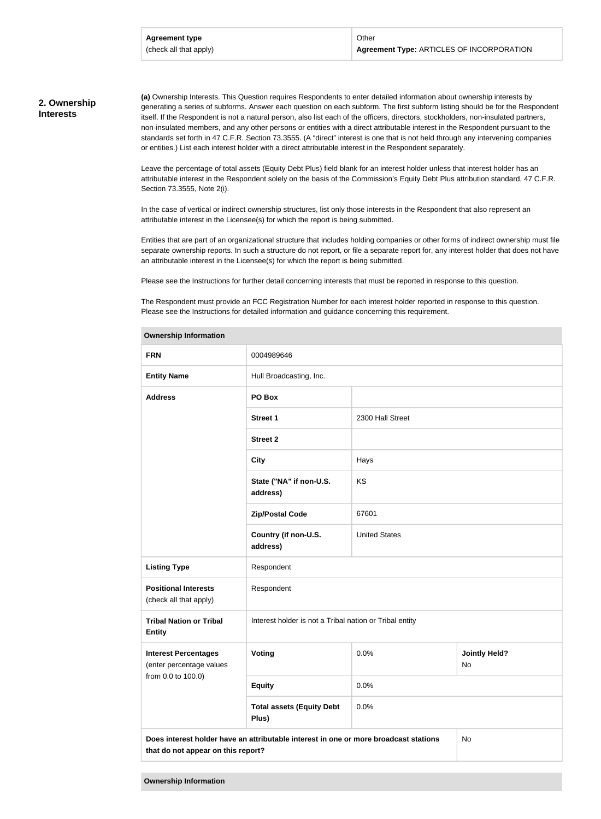#### **2. Ownership Interests**

**(a)** Ownership Interests. This Question requires Respondents to enter detailed information about ownership interests by generating a series of subforms. Answer each question on each subform. The first subform listing should be for the Respondent itself. If the Respondent is not a natural person, also list each of the officers, directors, stockholders, non-insulated partners, non-insulated members, and any other persons or entities with a direct attributable interest in the Respondent pursuant to the standards set forth in 47 C.F.R. Section 73.3555. (A "direct" interest is one that is not held through any intervening companies or entities.) List each interest holder with a direct attributable interest in the Respondent separately.

Leave the percentage of total assets (Equity Debt Plus) field blank for an interest holder unless that interest holder has an attributable interest in the Respondent solely on the basis of the Commission's Equity Debt Plus attribution standard, 47 C.F.R. Section 73.3555, Note 2(i).

In the case of vertical or indirect ownership structures, list only those interests in the Respondent that also represent an attributable interest in the Licensee(s) for which the report is being submitted.

Entities that are part of an organizational structure that includes holding companies or other forms of indirect ownership must file separate ownership reports. In such a structure do not report, or file a separate report for, any interest holder that does not have an attributable interest in the Licensee(s) for which the report is being submitted.

Please see the Instructions for further detail concerning interests that must be reported in response to this question.

The Respondent must provide an FCC Registration Number for each interest holder reported in response to this question. Please see the Instructions for detailed information and guidance concerning this requirement.

| <b>FRN</b>                                                                                                                       | 0004989646                                              |                      |                            |
|----------------------------------------------------------------------------------------------------------------------------------|---------------------------------------------------------|----------------------|----------------------------|
| <b>Entity Name</b>                                                                                                               | Hull Broadcasting, Inc.                                 |                      |                            |
| <b>Address</b>                                                                                                                   | PO Box                                                  |                      |                            |
|                                                                                                                                  | <b>Street 1</b>                                         | 2300 Hall Street     |                            |
|                                                                                                                                  | <b>Street 2</b>                                         |                      |                            |
|                                                                                                                                  | <b>City</b>                                             | Hays                 |                            |
|                                                                                                                                  | State ("NA" if non-U.S.<br>address)                     | KS                   |                            |
|                                                                                                                                  | <b>Zip/Postal Code</b>                                  | 67601                |                            |
|                                                                                                                                  | Country (if non-U.S.<br>address)                        | <b>United States</b> |                            |
| <b>Listing Type</b>                                                                                                              | Respondent                                              |                      |                            |
| <b>Positional Interests</b><br>(check all that apply)                                                                            | Respondent                                              |                      |                            |
| <b>Tribal Nation or Tribal</b><br><b>Entity</b>                                                                                  | Interest holder is not a Tribal nation or Tribal entity |                      |                            |
| <b>Interest Percentages</b><br>(enter percentage values                                                                          | Voting                                                  | 0.0%                 | <b>Jointly Held?</b><br>No |
| from 0.0 to 100.0)                                                                                                               | <b>Equity</b>                                           | 0.0%                 |                            |
|                                                                                                                                  | <b>Total assets (Equity Debt</b><br>Plus)               | 0.0%                 |                            |
| Does interest holder have an attributable interest in one or more broadcast stations<br>No<br>that do not appear on this report? |                                                         |                      |                            |
|                                                                                                                                  |                                                         |                      |                            |

#### **Ownership Information**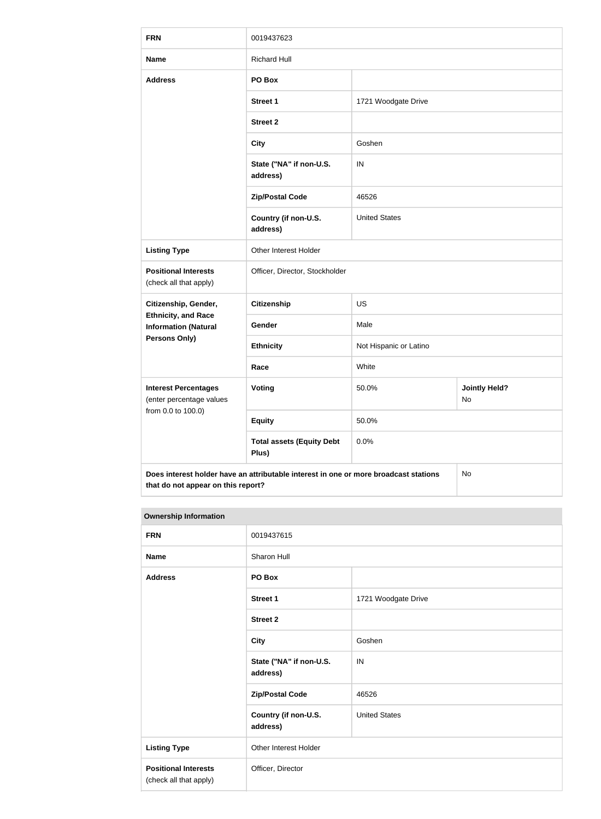| <b>FRN</b>                                                                                                                       | 0019437623                                |                        |                            |  |
|----------------------------------------------------------------------------------------------------------------------------------|-------------------------------------------|------------------------|----------------------------|--|
| <b>Name</b>                                                                                                                      | <b>Richard Hull</b>                       |                        |                            |  |
| <b>Address</b>                                                                                                                   | PO Box                                    |                        |                            |  |
|                                                                                                                                  | <b>Street 1</b>                           | 1721 Woodgate Drive    |                            |  |
|                                                                                                                                  | <b>Street 2</b>                           |                        |                            |  |
|                                                                                                                                  | <b>City</b>                               | Goshen                 |                            |  |
|                                                                                                                                  | State ("NA" if non-U.S.<br>address)       | IN                     |                            |  |
|                                                                                                                                  | <b>Zip/Postal Code</b>                    | 46526                  |                            |  |
|                                                                                                                                  | Country (if non-U.S.<br>address)          | <b>United States</b>   |                            |  |
| <b>Listing Type</b>                                                                                                              | Other Interest Holder                     |                        |                            |  |
| <b>Positional Interests</b><br>(check all that apply)                                                                            | Officer, Director, Stockholder            |                        |                            |  |
| Citizenship, Gender,                                                                                                             | <b>Citizenship</b>                        | <b>US</b>              |                            |  |
| <b>Ethnicity, and Race</b><br><b>Information (Natural</b>                                                                        | Gender                                    | Male                   |                            |  |
| <b>Persons Only)</b>                                                                                                             | <b>Ethnicity</b>                          | Not Hispanic or Latino |                            |  |
|                                                                                                                                  | Race                                      | White                  |                            |  |
| <b>Interest Percentages</b><br>(enter percentage values                                                                          | <b>Voting</b>                             | 50.0%                  | <b>Jointly Held?</b><br>No |  |
| from 0.0 to 100.0)                                                                                                               | <b>Equity</b>                             | 50.0%                  |                            |  |
|                                                                                                                                  | <b>Total assets (Equity Debt</b><br>Plus) | 0.0%                   |                            |  |
| Does interest holder have an attributable interest in one or more broadcast stations<br>No<br>that do not appear on this report? |                                           |                        |                            |  |

#### **Ownership Information**

| <b>FRN</b>                                            | 0019437615                          |                      |  |
|-------------------------------------------------------|-------------------------------------|----------------------|--|
| <b>Name</b>                                           | Sharon Hull                         |                      |  |
| <b>Address</b>                                        | PO Box                              |                      |  |
|                                                       | <b>Street 1</b>                     | 1721 Woodgate Drive  |  |
|                                                       | <b>Street 2</b>                     |                      |  |
|                                                       | <b>City</b>                         | Goshen               |  |
|                                                       | State ("NA" if non-U.S.<br>address) | IN                   |  |
|                                                       | <b>Zip/Postal Code</b>              | 46526                |  |
|                                                       | Country (if non-U.S.<br>address)    | <b>United States</b> |  |
| <b>Listing Type</b>                                   | Other Interest Holder               |                      |  |
| <b>Positional Interests</b><br>(check all that apply) | Officer, Director                   |                      |  |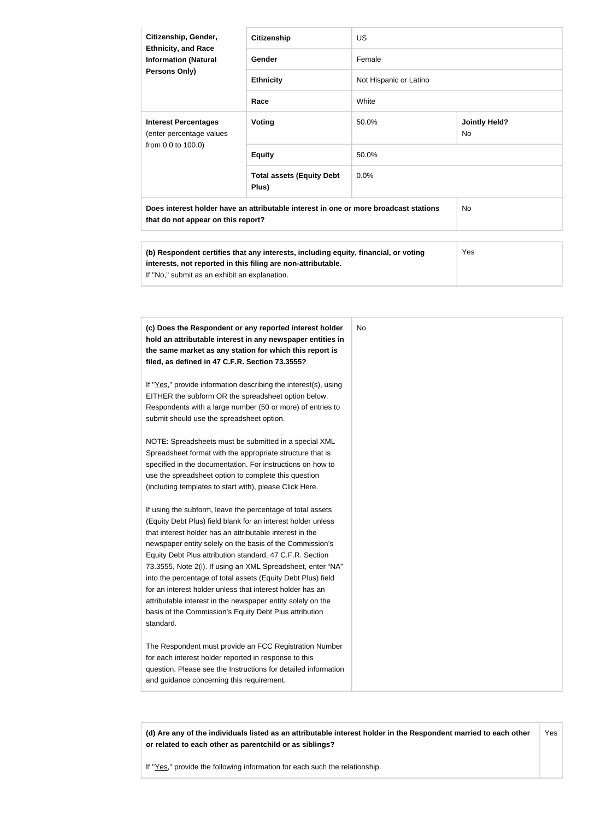| Citizenship, Gender,<br><b>Ethnicity, and Race</b><br><b>Information (Natural</b><br><b>Persons Only)</b>                  | <b>Citizenship</b>                        | <b>US</b>              |                                   |
|----------------------------------------------------------------------------------------------------------------------------|-------------------------------------------|------------------------|-----------------------------------|
|                                                                                                                            | Gender                                    | Female                 |                                   |
|                                                                                                                            | <b>Ethnicity</b>                          | Not Hispanic or Latino |                                   |
|                                                                                                                            | Race                                      | White                  |                                   |
| <b>Interest Percentages</b><br>(enter percentage values                                                                    | Voting                                    | 50.0%                  | <b>Jointly Held?</b><br><b>No</b> |
| from 0.0 to 100.0)                                                                                                         | <b>Equity</b>                             | 50.0%                  |                                   |
|                                                                                                                            | <b>Total assets (Equity Debt</b><br>Plus) | 0.0%                   |                                   |
| Does interest holder have an attributable interest in one or more broadcast stations<br>that do not appear on this report? |                                           |                        | <b>No</b>                         |

| (b) Respondent certifies that any interests, including equity, financial, or voting<br>interests, not reported in this filing are non-attributable.<br>If "No," submit as an exhibit an explanation. | Yes |
|------------------------------------------------------------------------------------------------------------------------------------------------------------------------------------------------------|-----|
|------------------------------------------------------------------------------------------------------------------------------------------------------------------------------------------------------|-----|

| (c) Does the Respondent or any reported interest holder         | No. |
|-----------------------------------------------------------------|-----|
| hold an attributable interest in any newspaper entities in      |     |
| the same market as any station for which this report is         |     |
| filed, as defined in 47 C.F.R. Section 73.3555?                 |     |
| If "Yes," provide information describing the interest(s), using |     |
| EITHER the subform OR the spreadsheet option below.             |     |
| Respondents with a large number (50 or more) of entries to      |     |
| submit should use the spreadsheet option.                       |     |
| NOTE: Spreadsheets must be submitted in a special XML           |     |
| Spreadsheet format with the appropriate structure that is       |     |
| specified in the documentation. For instructions on how to      |     |
| use the spreadsheet option to complete this question            |     |
| (including templates to start with), please Click Here.         |     |
| If using the subform, leave the percentage of total assets      |     |
| (Equity Debt Plus) field blank for an interest holder unless    |     |
| that interest holder has an attributable interest in the        |     |
| newspaper entity solely on the basis of the Commission's        |     |
| Equity Debt Plus attribution standard, 47 C.F.R. Section        |     |
| 73.3555, Note 2(i). If using an XML Spreadsheet, enter "NA"     |     |
| into the percentage of total assets (Equity Debt Plus) field    |     |
| for an interest holder unless that interest holder has an       |     |
| attributable interest in the newspaper entity solely on the     |     |
| basis of the Commission's Equity Debt Plus attribution          |     |
| standard.                                                       |     |
| The Respondent must provide an FCC Registration Number          |     |
| for each interest holder reported in response to this           |     |
| question. Please see the Instructions for detailed information  |     |
| and guidance concerning this requirement.                       |     |

**(d) Are any of the individuals listed as an attributable interest holder in the Respondent married to each other or related to each other as parentchild or as siblings?** Yes

If "Yes," provide the following information for each such the relationship.